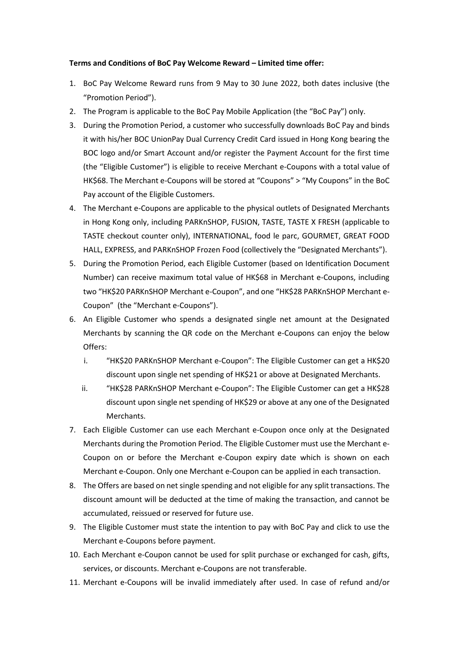## **Terms and Conditions of BoC Pay Welcome Reward – Limited time offer:**

- 1. BoC Pay Welcome Reward runs from 9 May to 30 June 2022, both dates inclusive (the "Promotion Period").
- 2. The Program is applicable to the BoC Pay Mobile Application (the "BoC Pay") only.
- 3. During the Promotion Period, a customer who successfully downloads BoC Pay and binds it with his/her BOC UnionPay Dual Currency Credit Card issued in Hong Kong bearing the BOC logo and/or Smart Account and/or register the Payment Account for the first time (the "Eligible Customer") is eligible to receive Merchant e-Coupons with a total value of HK\$68. The Merchant e-Coupons will be stored at "Coupons" > "My Coupons" in the BoC Pay account of the Eligible Customers.
- 4. The Merchant e-Coupons are applicable to the physical outlets of Designated Merchants in Hong Kong only, including PARKnSHOP, FUSION, TASTE, TASTE X FRESH (applicable to TASTE checkout counter only), INTERNATIONAL, food le parc, GOURMET, GREAT FOOD HALL, EXPRESS, and PARKnSHOP Frozen Food (collectively the "Designated Merchants").
- 5. During the Promotion Period, each Eligible Customer (based on Identification Document Number) can receive maximum total value of HK\$68 in Merchant e-Coupons, including two "HK\$20 PARKnSHOP Merchant e-Coupon", and one "HK\$28 PARKnSHOP Merchant e-Coupon" (the "Merchant e-Coupons").
- 6. An Eligible Customer who spends a designated single net amount at the Designated Merchants by scanning the QR code on the Merchant e-Coupons can enjoy the below Offers:
	- i. "HK\$20 PARKnSHOP Merchant e-Coupon": The Eligible Customer can get a HK\$20 discount upon single net spending of HK\$21 or above at Designated Merchants.
	- ii. "HK\$28 PARKnSHOP Merchant e-Coupon": The Eligible Customer can get a HK\$28 discount upon single net spending of HK\$29 or above at any one of the Designated Merchants.
- 7. Each Eligible Customer can use each Merchant e-Coupon once only at the Designated Merchants during the Promotion Period. The Eligible Customer must use the Merchant e-Coupon on or before the Merchant e-Coupon expiry date which is shown on each Merchant e-Coupon. Only one Merchant e-Coupon can be applied in each transaction.
- 8. The Offers are based on net single spending and not eligible for any split transactions. The discount amount will be deducted at the time of making the transaction, and cannot be accumulated, reissued or reserved for future use.
- 9. The Eligible Customer must state the intention to pay with BoC Pay and click to use the Merchant e-Coupons before payment.
- 10. Each Merchant e-Coupon cannot be used for split purchase or exchanged for cash, gifts, services, or discounts. Merchant e-Coupons are not transferable.
- 11. Merchant e-Coupons will be invalid immediately after used. In case of refund and/or